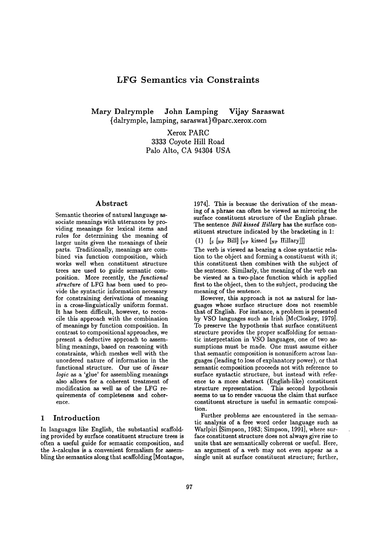# **LFG Semantics via Constraints**

Mary Dalrymple John Lamping Vijay Saraswat {dalrymple, lamping, saraswat}@parc.xerox.com

> Xerox PARC 3333 Coyote Hill Road Palo Alto, CA 94304 USA

#### **Abstract**

Semantic theories of natural language associate meanings with utterances by providing meanings for lexical items and rules for determining the meaning of larger units given the meanings of their parts. Traditionally, meanings are combined via function composition, which works well when constituent structure trees are used to guide semantic composition. More recently, the *functional structure* of LFG has been used to provide the syntactic information necessary for constraining derivations of meaning in a cross-linguistically uniform format. It has been difficult, however, to reconcile this approach with the combination of meanings by function composition. In contrast to compositional approaches, we present a deductive approach to assembling meanings, based on reasoning with constraints, which meshes well with the unordered nature of information in the functional structure. Our use of *linear logic* as a 'glue' for assembling meanings also allows for a coherent treatment of modification as well as of the LFG requirements of completeness and coherence.

### 1 Introduction

In languages like English, the substantial scaffolding provided by surface constituent structure trees is often a useful guide for semantic composition, and the  $\lambda$ -calculus is a convenient formalism for assembling the semantics along that scaffolding [Montague,

1974]. This is because the derivation of the meaning of a phrase can often be viewed as mirroring the surface constituent structure of the English phrase. The sentence *Bill kissed Hillary* has the surface constituent structure indicated by the bracketing in 1:

(1)  $\left[\begin{matrix} s \\ s \end{matrix}\right]$  [NP Bill]  $\left[\begin{matrix} v_P \end{matrix}\right]$  kissed  $\left[\begin{matrix} v_P \end{matrix}\right]$  Hillary]]

The verb is viewed as bearing a close syntactic relation to the object and forming a constituent with it; this constituent then combines with the subject of the sentence. Similarly, the meaning of the verb can be viewed as a two-place function which is applied first to the object, then to the subject, producing the meaning of the sentence.

However, this approach is not as natural for languages whose surface structure does not resemble that of English. For instance, a problem is presented by VSO languages such as Irish [McCloskey, 1979]. To preserve the hypothesis that surface constituent structure provides the proper scaffolding for semantic interpretation in VSO languages, one of two assumptions must be made. One must assume either that semantic composition is nonuniform across languages (leading to loss of explanatory power), or that semantic composition proceeds not with reference to surface syntactic structure, but instead with reference to a more abstract (English-like) constituent structure representation. This second hypothesis seems to us to render vacuous the claim that surface constituent structure is useful in semantic composition.

Further problems are encountered in the semantic analysis of a free word order language such as Warlpiri [Simpson, 1983; Simpson, 1991], where surface constituent structure does not always give rise to units that are semantically coherent or useful. Here, an argument of a verb may not even appear as a single unit at surface constituent structure; further,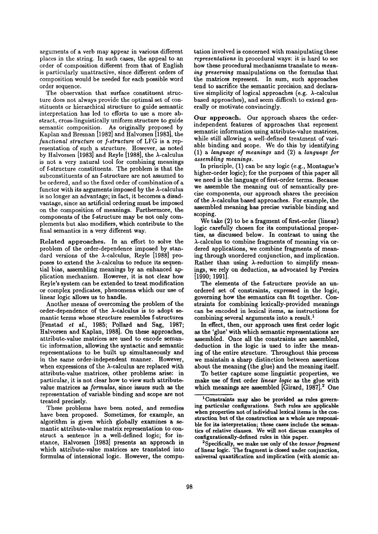arguments of a verb may appear in various different places in the string. In such cases, the appeal to an order of composition different from that of English is particularly unattractive, since different orders of composition would be needed for each possible word order sequence.

The observation that surface constituent structure does not always provide the optimal set of constituents or hierarchical structure to guide semantic interpretation has led to efforts to use a more abstract, cross-linguistically uniform structure to guide semantic composition. As originally proposed by Kaplan and Bresnan [1982] and Halvorsen [1983], the *functional structure* or *f-structure* of LFG is a representation of such a structure. However, as noted by Halvorsen [1983] and Reyle [1988], the  $\lambda$ -calculus is not a very natural tool for combining meanings of f-structure constituents. The problem is that the subconstituents of an f-structure are not assumed to be ordered, and so the fixed order of combination of a functor with its arguments imposed by the  $\lambda$ -calculus is no longer an advantage; in fact, it becomes a disadvantage, since an artificial ordering must be imposed on the composition of meanings. Furthermore, the components of the f-structure may be not only complements but also modifiers, which contribute to the final semantics in a very different way.

Related approaches. In an effort to solve the problem of the order-dependence imposed by standard versions of the  $\lambda$ -calculus, Reyle [1988] proposes to extend the  $\lambda$ -calculus to reduce its sequential bias, assembling meanings by an enhanced application mechanism. However, it is not clear how Reyle's system can be extended to treat modification or complex predicates, phenomena which our use of linear logic allows us to handle.

Another means of overcoming the problem of the order-dependence of the  $\lambda$ -calculus is to adopt semantic terms whose structure resembles f-structures [Fenstad *et al.,* 1985; Pollard and Sag, 1987; Halvorsen and Kaplan, 1988]. On these approaches, attribute-value matrices are used to encode semantic information, allowing the syntactic and semantic representations to be built up simultaneously and in the same order-independent manner. However, when expressions of the  $\lambda$ -calculus are replaced with attribute-value matrices, other problems arise: in particular, it is not clear how to view such attributevalue matrices as *formulas,* since issues such as **the**  representation of variable binding and scope are not treated precisely.

These problems have been noted, and remedies have been proposed. Sometimes, for example, an algorithm is given which globally examines a semantic attribute-value matrix representation to construct a sentence in a well-defined logic; for instance, Halvorsen [1983] presents an approach in which attribute-value matrices are translated into formulas of intensional logic. However, the computation involved is concerned with manipulating these *representations* in procedural ways: it is hard to see how these procedural mechanisms translate to *meaning preserving* manipulations on the formulas that the matrices represent. In sum, such approaches tend to sacrifice the semantic precision and declarative simplicity of logical approaches (e.g.  $\lambda$ -calculus based approaches), and seem difficult to extend generally or motivate convincingly.

Our approach. Our approach shares the orderindependent features of approaches that represent semantic information using attribute-value matrices, while still allowing a well-defined treatment of variable binding and scope. We do this by identifying (1) a *language of meanings* and (2) a *language for assembling meanings.* 

In principle, (1) can be any logic (e.g., Montague's higher-order logic); for the purposes of this paper all we need is the language of first-order terms. Because we assemble the meaning out of semantically precise components, our approach shares the precision of the  $\lambda$ -calculus based approaches. For example, the assembled meaning has precise variable binding and scoping.

We take (2) to be a fragment of first-order (linear) logic carefully chosen for its computational properties, as discussed below. In contrast to using the  $\lambda$ -calculus to combine fragments of meaning via ordered applications, we combine fragments of meaning through unordered conjunction, and implication. Rather than using  $\lambda$ -reduction to simplify meanings, we rely on deduction, as advocated by Pereira [1990; 1991].

The elements of the f-structure provide an unordered set of constraints, expressed in the logic, governing how the semantics can fit together. Constraints for combining lexically-provided meanings can be encoded in lexical items, as instructions for combining several arguments into a result.<sup>1</sup>

In effect, then, our approach uses first order logic as the 'glue' with which semantic representations are assembled. Once all the constraints are assembled, deduction in the logic is used to infer the meaning of the entire structure. Throughout this process **we** maintain a sharp distinction between assertions about the meaning (the glue) and the meaning itself.

To better capture some linguistic properties, **we**  make use of first order *linear logic as* the glue with which meanings are assembled [Girard,  $1987$ ].<sup>2</sup> One

2Specifically, we make use only **of the** *tensor]ragment*  **of** linear logic. The fragment is closed **under conjunction,**  universal quantification and implication (with atomic an-

<sup>&</sup>lt;sup>1</sup> Constraints may also be provided as rules govern**ing particular configurations. Such rules** are applicable **when properties not of** individual lexical items in **the construction but of the construction as a whole are responsible for its interpretation; these cases include the semantics of relative clauses. We will not discuss examples of configurationally-defined rules in this** paper.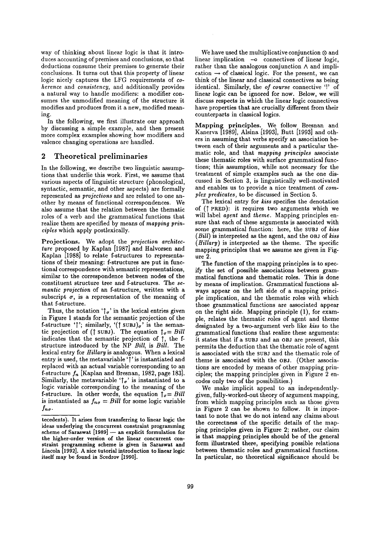way of thinking about linear logic is that it introduces accounting of premises and conclusions, so that deductions consume their premises to generate their conclusions. It turns out that this property of linear logic nicely captures the LFG requirements of *coherence* and *consistency,* and additionally provides a natural way to handle modifiers: a modifier consumes the unmodified meaning of the structure it modifies and produces from it a new, modified meaning.

In the following, we first illustrate our approach by discussing a simple example, and then present more complex examples showing how modifiers and valence changing operations are handled.

#### 2 Theoretical preliminaries

In the following, we describe two linguistic assumptions that underlie this work. First, we assume that various aspects of linguistic structure (phonological, syntactic, semantic, and other aspects) are formally represented as *projections* and are related to one another by means of functional correspondences. We also assume that the relation between the thematic roles of a verb and the grammatical functions that realize them are specified by means of *mapping principles* which apply postlexically.

Projections. We adopt the *projection architecture* proposed by Kaplan [1987] and Halvorsen and Kaplan [1988] to relate f-structures to representations of their meaning: f-structures are put in functional correspondence with semantic representations, similar to the correspondence between nodes of the constituent structure tree and f-structures. The *semantic projection* of an f-structure, written with a subscript  $\sigma$ , is a representation of the meaning of that f-structure.

Thus, the notation ' $\uparrow_{\sigma}$ ' in the lexical entries given in Figure 1 stands for the semantic projection of the f-structure ' $\uparrow$ '; similarly, '( $\uparrow$  subJ)<sub>a</sub>' is the semantic projection of ( $\uparrow$  subj). The equation  $\uparrow_{\sigma} = Bill$ indicates that the semantic projection of  $\uparrow$ , the fstructure introduced by the NP *Bill,* is *Bill.* The lexical entry for *Hillary* is analogous. When a lexical entry is used, the metavariable '"' is instantiated and replaced with an actual variable corresponding to an f-structure  $f_n$  [Kaplan and Bresnan, 1982, page 183]. Similarly, the metavariable ' $\uparrow_{\sigma}$ ' is instantiated to a logic variable corresponding to the meaning of the f-structure. In other words, the equation  $\uparrow_{\sigma} = Bill$ is instantiated as  $f_{n\sigma} = Bill$  for some logic variable  $f_{n\sigma}$ .

We have used the multiplicative conjunction  $\otimes$  and linear implication -o connectives of linear logic, rather than the analogous conjunction  $\wedge$  and implication  $\rightarrow$  of classical logic. For the present, we can think of the linear and classical connectives as being identical. Similarly, the *of course* connective '!' of linear logic can be ignored for now. Below, we will discuss respects in which the linear logic connectives have properties that are crucially different from their counterparts in classical logics.

Mapping principles. We follow Bresnan and Kanerva [1989], Alsina [1993], Butt [1993] and others in assuming that verbs specify an association between each of their arguments and a particular thematic role, and that *mapping principles* associate these thematic roles with surface grammatical functions; this assumption, while not necessary for the treatment of simple examples such as the one discussed in Section 3, is linguistically well-motivated and enables us to provide a nice treatment of *complex predicates,* to be discussed in Section 5.

The lexical entry for *kiss* specifies the denotation of (T PRED): it requires two arguments which we will label *agent* and *theme.* Mapping principles ensure that each of these arguments is associated with some grammatical function: here, the SUBJ of *kiss* (*Bill*) is interpreted as the agent, and the OBJ of kiss *(Hillary)* is interpreted as the theme. The specific mapping principles that we assume are given in Figure 2.

The function of the mapping principles is to specify the set of possible associations between grammatical functions and thematic roles. This is done by means of implication. Grammatical functions always appear on the left side of a mapping principle implication, and the thematic roles with which those grammatical functions are associated appear on the right side. Mapping principle (1), for example, relates the thematic roles of agent and theme designated by a two-argument verb like *kiss* to the grammatical functions that realize these arguments: it states that if a SUBJ and an OBJ are present, this permits the deduction that the thematic role of agent is associated with the suBJ and the thematic role of theme is associated with the OBJ. (Other associations are encoded by means of other mapping principles; the mapping principles given in Figure 2 encodes only two of the possibilities.)

We make implicit appeal to an independentlygiven, fully-worked-out theory of argument mapping, from which mapping principles such as those given in Figure 2 can be shown to follow. It is important to note that we do not intend any claims about the correctness of the specific details of the mapping principles given in Figure 2; rather, our claim is that mapping principles should be of the general form illustrated there, specifying possible relations between thematic roles and grammatical functions. In particular, no theoretical significance should be

tecedents). It arises from transferring to linear logic **the**  ideas underlying the concurrent constraint programming scheme of Saraswat  $[1989]$  -- an explicit formulation for **the higher-order version of the linear concurrent** constraint programming scheme is given in Saraswat and Lincoln [1992]. A nice tutorial introduction to linear logic itself may be found in Scedrov [1990].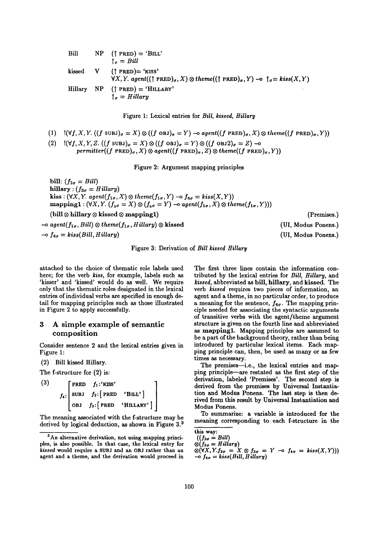Bill kissed Hillary  $NP$  († PRED) = 'BILL'  $\uparrow_{\sigma}$  = *Bill*  $V$  († PRED) = 'KISS'  $\forall X, Y.$  agent $((\uparrow \text{PRED})_{\sigma}, X) \otimes theme((\uparrow \text{PRED})_{\sigma}, Y) \rightarrow \uparrow_{\sigma} = kiss(X, Y)$  $NP$  († PRED) = 'HILLARY'  $\uparrow_{\sigma}$  = *Hillary* 

Figure 1: Lexical entries for *Bill, kissed, Hillary* 

(1) 
$$
\mathbb{I}(\forall f, X, Y. ((f \text{SUBJ})_{\sigma} = X) \otimes ((f \text{OBJ})_{\sigma} = Y) \rightarrow agent((f \text{ PRED})_{\sigma}, X) \otimes theme((f \text{ PRED})_{\sigma}, Y))
$$

(2)  $\mathbb{I}(\forall f, X, Y, Z. ((f \text{ SUBJ})_{\sigma} = X) \otimes ((f \text{ OBJ})_{\sigma} = Y) \otimes ((f \text{ OBJ2})_{\sigma} = Z)$  -o  $permitter((f \text{ } PRED)_{\sigma}, X) \otimes agent((f \text{ } PRED)_{\sigma}, Z) \otimes theme((f \text{ } PRED)_{\sigma}, Y))$ 

Figure 2: Argument mapping principles

bill:  $(f_{2\sigma} = Bill)$ hillary :  $(f_{3\sigma} = Hilary)$ kiss:  $(\forall X, Y.$  agent $(f_{1\sigma}, X) \otimes theme(f_{1\sigma}, Y) \rightarrow f_{4\sigma} = kiss(X, Y))$ mapping1 :  $(\forall X, Y. (f_{4\sigma} = X) \otimes (f_{3\sigma} = Y)$  -o agent $(f_{1\sigma}, X) \otimes$  theme $(f_{1\sigma}, Y))$ ) (bill  $\otimes$  hillary  $\otimes$  kissed  $\otimes$  mapping1)  $\rightarrow$  agent( $f_{1\sigma}$ , Bill)  $\otimes$  theme( $f_{1\sigma}$ , Hillary)  $\otimes$  kissed  $-$ o  $f_{4\sigma} = kiss(Bill, Hillary)$ 

Figure 3: Derivation of *Bill kissed Hiilary* 

attached to the choice of thematic role labels used here; for the verb *kiss,* for example, labels such as 'kisser' and 'kissed' would do as well. We require only that the thematic roles designated in the lexical entries of individual verbs are specified in enough detail for mapping principles such as those illustrated in Figure 2 to apply successfully.

# 3 A simple example of semantic composition

Consider sentence 2 and the lexical entries given in Figure 1:

(2) Bill kissed Hillary.

The f-structure for (2) is:

 $(3)$  [PRED  $f_1$ :'KISS']  $f_4$ : SUBJ  $f_2$ : PRED 'BILL' OBJ  $f_3$ : PRED 'HILLARY' ]

The meaning associated with the f-structure may be derived by logical deduction, as shown in Figure 3.3

The first three lines contain the information contributed by the lexical entries for *Bill, Hillary*, and *kissed,* abbreviated as bill, hillary, and kissed. The verb *kissed* requires two pieces of information, an agent and a theme, in no particular order, to produce a meaning for the sentence,  $f_{4\sigma}$ . The mapping principle needed for associating the syntactic arguments of transitive verbs with the agent/theme argument structure is given on the fourth line and abbreviated as mapping1. Mapping principles are assumed to be a part of the background theory, rather than being introduced by particular lexical items. Each mapping principle can, then, be used as many or as few times as necessary.

The premises-i.e., the lexical entries and mapping principle are restated as the first step of the derivation, labeled 'Premises'. The second step is derived from the premises by Universal Instantiation and Modus Ponens. The last step is then derived from this result by Universal Instantiation and Modus Ponens.

To summarize: a variable is introduced for the meaning corresponding to each f-structure in the

 $\otimes$ ( $\forall X, Y. f_{2\sigma} = X \otimes f_{3\sigma} = Y \neg o f_{4\sigma} = kiss(X, Y))$ )  $\rightarrow$   $f_{4\sigma} = kiss(Bill, Hillary)$ 

(Premises.)

```
(UI, Modus Ponens.)
```

```
(UI, Modus Ponens.)
```
<sup>&</sup>lt;sup>3</sup>An alternative derivation, not using mapping principles, is also possible. In that case, the lexical entry for *kissed* would require a SUBJ and an OBJ rather than an agent and a theme, and the derivation would proceed in

this way:

 $((f_{2\sigma} = Bill)$ 

*<sup>®(13</sup>o = Hillary)*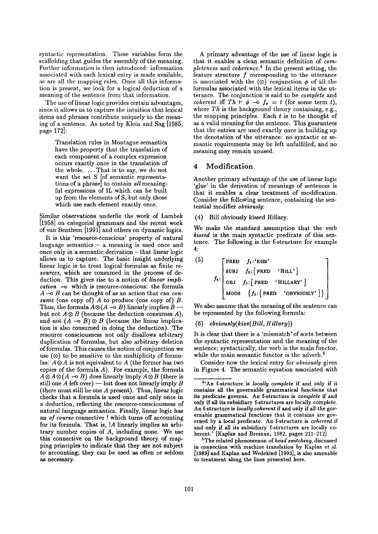syntactic representation. These variables form the scaffolding that guides the assembly of the meaning. Further information is then introduced: information associated with each lexical entry is made available, as are all the mapping rules. Once all this information is present, we look for a logical deduction of a meaning of the sentence from that information.

The use of linear logic provides certain advantages, since it allows us to capture the intuition that lexical items and phrases contribute uniquely to the meaning of a sentence. As noted by Klein and Sag [1985, page 172]:

> Translation rules in Montague semantics have the property that the translation of each component of a complex expression occurs exactly once in the translation of the whole .... That is to say, we do not want the set S [of semantic representations of a phrase] to contain *all* meaningful expressions of IL which can be built up from the elements of S, but only those which use each element exactly once.

Similar observations underlie the work of Lambek [1958] on categorial grammars and the recent work of van Benthem [1991] and others on dynamic logics.

It is this 'resource-conscious' property of natural language semantics  $-$  a meaning is used once and once only in a semantic derivation - that linear logic allows us to capture. The basic insight underlying linear logic is to treat logical formulas as finite re*sources,* which are consumed in the process of deduction. This gives rise to a notion of *linear implication --o* which is resource-conscious: the formula A -o B can be thought of as an action that can *consume* (one copy of) A to produce (one copy of) B. Thus, the formula  $A \otimes (A \rightarrow B)$  linearly implies  $B$ but not  $A \otimes B$  (because the deduction consumes A), and not  $(A \rightarrow B) \otimes B$  (because the linear implication is also consumed in doing the deduction). The resource consciousness not only disallows arbitrary duplication of formulas, but also arbitrary deletion of formulas. This causes the notion of conjunction we use  $(\otimes)$  to be sensitive to the multiplicity of formulas:  $A \otimes A$  is not equivalent to A (the former has two copies of the formula  $A$ ). For example, the formula  $A \otimes A \otimes (A \multimap B)$  does linearly imply  $A \otimes B$  (there is still one  $A$  left over) — but does not linearly imply  $B$ (there must still be one A present). Thus, linear logic checks that a formula is used once and only once in a deduction, reflecting the resource-consciousness of natural language semantics. Finally, linear logic has an *of course* connective ! which turns off accounting for its formula. That is, !A linearly implies an arbitrary number copies of A, including none. We use this connective on the background theory of mapping principles to indicate that they **are not** subject **to accounting; they can be used** as often or seldom as necessary.

A primary advantage of the use of linear logic is that it enables a clean semantic definition of *completeness* and *coherence. 4* In the present setting, the feature structure  $f$  corresponding to the utterance is associated with the  $(\otimes)$  conjunction  $\phi$  of all the formulas associated with the lexical items in the utterance. The conjunction is said to be *complete* and *coherent* iff  $Th \rightharpoonup \phi \rightharpoonup f_{\sigma} = t$  (for some term t), where *Th* is the background theory containing, e.g., the mapping principles. Each  $t$  is to be thought of as a valid meaning for the sentence. This guarantees that the entries are used exactly once in building up the denotation of the utterance: no syntactic or semantic requirements may be left unfulfilled, and no meaning may remain unused.

### 4 Modification

Another primary advantage of the use of linear logic 'glue' in the derivation of meanings of sentences is that it enables a clear treatment of modification. Consider the following sentence, containing the sentential modifier *obviously:* 

(4) Bill obviously kissed Hillary.

We make the standard assumption that the verb *kissed* is the main syntactic predicate of this sentence. The following is the f-structure for example 4:

$$
f_{4}: \begin{bmatrix} \texttt{PRED} & f_{1}:^{k}KISS' \\ \texttt{SUBJ} & f_{2}: \begin{bmatrix} \texttt{PRED} & 'BILL' \end{bmatrix} \\ f_{4}: \begin{bmatrix} \texttt{OBJ} & f_{3}: \begin{bmatrix} \texttt{PRED} & 'HILLARY' \end{bmatrix} \\ \texttt{MODS} & \begin{bmatrix} f_{5}: \begin{bmatrix} \texttt{PRED} & 'BVDUUSLY' \end{bmatrix} \end{bmatrix} \end{bmatrix}
$$

We also assume that the meaning of the sentence can be represented by the following formula:

#### (6) *obviously(kiss(Bill, Hillary))*

It is clear that there is a 'mismatch' of sorts between the syntactic representation and the meaning of the sentence; syntactically, the verb is the main functor; while the main semantic functor is the adverb.<sup>5</sup>

Consider now the lexical entry for *obviously* given in Figure 4. The semantic equation associated with

5The **related phenomenon** of *head switching,* discussed in connection with machine translation by Kaplan et al. [1989] and Kaplan **and Wedekind** [1993], is also amenable **to treatment along the lines presented here.** 

**<sup>4&#</sup>x27;An f-structure is** *locally complete* **if and only if it contains all the governable grammatical functions that its predicate governs. An f-structure is** *complete* **if and**  only if all its subsidiary f-structures are locally complete. An f-structure is *locally coherent* **if and** only if all the governable **grammatical functions that** it contains are governed by a local predicate. An f-structure is *coherent* if and only if all its subsidiary f-structures are locally coherent.' [Kaplan and Bresnan, 1982, pages 211-212]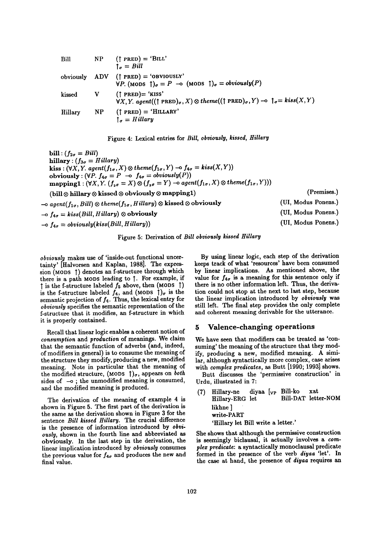Bill NP († PRED) = 'BILL'  
\n
$$
\uparrow_{\sigma} = Bill
$$
  
\nobviously ADV († PRED) = 'OBVIOUSLY'  
\n $\forall P. \text{ (MODS } \uparrow)_{\sigma} = P \rightarrow \text{ (MODS } \uparrow)_{\sigma} = obviously(P)$   
\nkissed V († PRED) = 'KISS'  
\n $\forall X, Y. agent((\uparrow PRED)_{\sigma}, X) \otimes theme((\uparrow PRED)_{\sigma}, Y) \rightarrow \uparrow_{\sigma} = kiss(X, Y)$   
\nHillary NP († PRED) = 'HILLARY'  
\n $\uparrow_{\sigma} = Hilary$ 



bill:  $(f_{2\sigma} = Bill)$ hillary :  $(f_{3\sigma} = Hillary)$  $kiss : (\forall X, Y.$  agent $(f_{1\sigma}, X) \otimes theme(f_{1\sigma}, Y) \rightarrow f_{4\sigma} = kiss(X, Y))$ obviously:  $(\forall P. f_{4\sigma} = P \neg o f_{4\sigma} = obviously(P))$ mapping1 :  $(\forall X, Y. (f_{2\sigma} = X) \otimes (f_{3\sigma} = Y)$  -o agent $(f_{1\sigma}, X) \otimes theme(f_{1\sigma}, Y))$ (bill  $\otimes$  hillary  $\otimes$  kissed  $\otimes$  obviously  $\otimes$  mapping1)  $\sim$  agent( $f_{1\sigma}$ , Bill)  $\otimes$  theme( $f_{1\sigma}$ , Hillary)  $\otimes$  kissed  $\otimes$  obviously  $-$ o  $f_{4\sigma} = kiss(Bill, Hillary)$   $\otimes$  obviously  $-$ o  $f_{4\sigma} = obviously(kiss(Bill, Hillary))$ (Premises.) (UI, Modus Ponens.) (UI, Modus Ponens.) (UI, Modus Ponens.)

Figure 5: Derivation of *Bill obviously kissed Hillary* 

*obviously* makes use of 'inside-out functional uncertainty' [Halvorsen and Kaplan, 1988]. The expression (MODS ) denotes an f-structure through which there is a path MODS leading to  $\uparrow$ . For example, if  $\uparrow$  is the f-structure labeled  $f_5$  above, then (MODS  $\uparrow$ ) is the f-structure labeled  $f_4$ , and (MODS  $\dagger$ )<sub> $\sigma$ </sub> is the semantic projection of  $f_4$ . Thus, the lexical entry for *obviously* specifies the semantic representation of the f-structure that it modifies, an f-structure in which it is properly contained.

Recall that linear logic enables a coherent notion of *consumption* and *production* of meanings. We claim that the semantic function of adverbs (and, indeed, of modifiers in general) is to consume the meaning of the structure they modify, producing a new, modified meaning. Note in particular that the meaning of the modified structure, (MODS  $\uparrow$ )<sub> $\sigma$ </sub>, appears on *both* sides of  $-$ o; the unmodified meaning is consumed, and the modified meaning is produced.

The derivation of the meaning of example 4 is shown in Figure 5. The first part of the derivation is the same as the derivation shown in Figure 3 for the sentence *Bill kissed Hillary.* The crucial difference is the presence of information introduced by *obviously,* shown in the fourth line and abbreviated as obviously. In the last step in the derivation, the linear implication introduced by *obviously* consumes the previous value for  $f_{4\sigma}$  and produces the new and final value.

By using linear logic, each step of the derivation keeps track of what 'resources' have been consumed by linear implications. As mentioned above, the value for  $f_{4\sigma}$  is a meaning for this sentence only if there is no other information left. Thus, the derivation could not stop at the next to last step, because the linear implication introduced by *obviously was*  still left. The final step provides the only complete and coherent meaning derivable for the utterance.

### 5 Valence-changing operations

We have seen that modifiers can be treated as 'consuming' the meaning of the structure that they modify, producing a new, modified meaning. A similar, although syntactically more complex, case arises with *complex predicates, as* Butt [1990; 1993] shows.

Butt discusses the 'permissive construction' in Urdu, illustrated in 7:

| (7) Hillary-ne diyaa [ <sub>VP</sub> Bill-ko xat<br>Hillary-ERG let |  |  |  | Bill-DAT letter-NOM |  |  |
|---------------------------------------------------------------------|--|--|--|---------------------|--|--|
| likhne ]                                                            |  |  |  |                     |  |  |
| write-PART                                                          |  |  |  |                     |  |  |
| 'Hillary let Bill write a letter.'                                  |  |  |  |                     |  |  |

She shows that although the permissive construction is seemingly biclausal, it actually involves a *complex predicate:* a syntactically monoclausal predicate formed in the presence of the verb *diyaa* 'let'. In the case at hand, the presence of *diyaa* requires an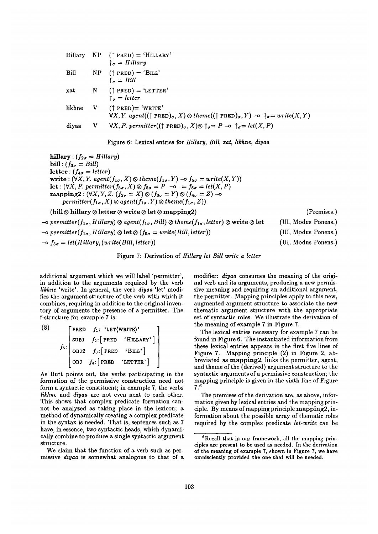|                 |              | Hillary NP $(\uparrow$ PRED) = 'HILLARY'<br>$\uparrow_{\sigma} = Hilary$                                                                                                           |
|-----------------|--------------|------------------------------------------------------------------------------------------------------------------------------------------------------------------------------------|
| Bill            |              | $NP$ († PRED) = 'BILL'<br>$\uparrow$ <sub>a</sub> = Bill                                                                                                                           |
| $\mathbf{x}$ at |              | $N$ († PRED) = 'LETTER'<br>$\uparrow_{\sigma}$ = letter                                                                                                                            |
| likhne          |              | $V$ († PRED)= 'WRITE'<br>$\forall X, Y.$ agent((† PRED) <sub><math>\sigma</math></sub> , X) $\otimes$ theme((† PRED) $\sigma$ , Y) $\rightarrow$ $\uparrow_{\sigma} = write(X, Y)$ |
| diyaa           | $\mathbf{V}$ | $\forall X, P.$ permitter((† PRED) $\sigma$ , $X$ ) $\otimes$ $\uparrow$ <sub><math>\sigma</math></sub> $=$ $P \multimap$ $\uparrow$ $\sigma$ $=$ $let(X, P)$                      |

Figure 6: Lexical entries for *Hillary, Bill, zat, likhne, diyaa* 

hillary :  $(f_{2\sigma} = Hilary)$ bill:  $(f_{3\sigma} = Bill)$  $letter : (f_{4\sigma} = letter)$ write:  $(\forall X, Y.$  agent $(f_{1\sigma}, X) \otimes theme(f_{1\sigma}, Y) \rightarrow f_{5\sigma} = write(X, Y)$ let :  $(\forall X, P.$  permitter $(f_{5\sigma}, X) \otimes f_{5\sigma} = P -\sigma = f_{5\sigma} = let(X, P)$  $\text{mapping2} : (\forall X, Y, Z. (f_{2\sigma} = X) \otimes (f_{3\sigma} = Y) \otimes (f_{4\sigma} = Z)$  -o  $permitter(f_{1\sigma}, X) \otimes agent(f_{1\sigma}, Y) \otimes theme(f_{1\sigma}, Z))$ 

(bill  $\otimes$  hillary  $\otimes$  letter  $\otimes$  write  $\otimes$  let  $\otimes$  mapping2)

 $\rightarrow$ o permitter( $f_{1\sigma}$ , Hillary)  $\otimes$  agent( $f_{1\sigma}$ , Bill)  $\otimes$  theme( $f_{1\sigma}$ , letter)  $\otimes$  write  $\otimes$  let  $\rightarrow$  permitter( $f_{1\sigma}$ , Hillary)  $\otimes$  let  $\otimes$  ( $f_{5\sigma}$  = write(Bill, letter))  $-$ o  $f_{5\sigma} = let(Hillary, (write(Bill, letter))$ (UI, Modus Ponens.) (UI, Modus Ponens.) (UI, Modus Ponens.)

#### Figure 7: Derivation of *Hillary let Bill write a letter*

additional argument which we will label 'permitter', in addition to the arguments required by the verb *likhne* 'write'. In general, the verb *diyaa* 'let' modifies the argument structure of the verb with which it combines, requiring in addition to the original inventory of arguments the presence of a permitter. The f-structure for example 7 is:

(8)  
\n
$$
f_5:
$$
\n
$$
f_6:
$$
\n
$$
f_7:
$$
\n
$$
f_8:
$$
\n
$$
f_9:
$$
\n
$$
f_9:
$$
\n
$$
f_1:
$$
\n
$$
f_2:
$$
\n
$$
f_3:
$$
\n
$$
f_4:
$$
\n
$$
f_5:
$$
\n
$$
f_7:
$$
\n
$$
f_8:
$$
\n
$$
f_9:
$$
\n
$$
f_9:
$$
\n
$$
f_1:
$$
\n
$$
f_2:
$$
\n
$$
f_3:
$$
\n
$$
f_4:
$$
\n
$$
f_5:
$$
\n
$$
f_7:
$$
\n
$$
f_8:
$$
\n
$$
f_9:
$$
\n
$$
f_9:
$$
\n
$$
f_1:
$$
\n
$$
f_2:
$$
\n
$$
f_3:
$$
\n
$$
f_4:
$$
\n
$$
f_5:
$$
\n
$$
f_7:
$$
\n
$$
f_8:
$$
\n
$$
f_9:
$$
\n
$$
f_9:
$$
\n
$$
f_1:
$$
\n
$$
f_2:
$$
\n
$$
f_3:
$$
\n
$$
f_4:
$$
\n
$$
f_5:
$$
\n
$$
f_7:
$$
\n
$$
f_8:
$$
\n
$$
f_9:
$$
\n
$$
f_9:
$$
\n
$$
f_9:
$$
\n
$$
f_9:
$$
\n
$$
f_9:
$$
\n
$$
f_9:
$$
\n
$$
f_9:
$$
\n
$$
f_9:
$$
\n
$$
f_9:
$$
\n
$$
f_9:
$$
\n
$$
f_9:
$$
\n
$$
f_9:
$$
\n
$$
f_9:
$$
\n
$$
f_9:
$$
\n
$$
f_9:
$$
\n
$$
f_9:
$$
\n
$$
f_9:
$$
\n
$$
f_9:
$$
\n<math display="block</p>

As Butt points out, the verbs participating in the formation of the permissive construction need not form a syntactic constituent; in example 7, the verbs *likhne* and *diyaa* are not even next to each other. This shows that complex predicate formation cannot be analyzed as taking place in the lexicon; a method of dynamically creating a complex predicate in the syntax is needed. That is, sentences such as 7 have, in essence, two syntactic heads, which dynamically combine to produce a single syntactic argument structure.

We claim that the function of a verb such as permissive *diyaa* is somewhat analogous to that of a modifier: *diyaa* consumes the meaning of the original verb and its arguments, producing a new permissive meaning and requiring an additional argument, the permitter. Mapping principles apply to this new, augmented argument structure to associate the new thematic argument structure with the appropriate set of syntactic roles. We illustrate the derivation of the meaning of example 7 in Figure 7.

(Premises.)

The lexical entries necessary for example 7 can be found in Figure 6. The instantiated information from these lexical entries appears in the first five lines of Figure 7. Mapping principle (2) in Figure 2, abbreviated as mapping2, links the permitter, agent, and theme of the (derived) argument structure to the syntactic arguments of a permissive construction; the mapping principle is given in the sixth line of Figure 7. 6

The premises of the derivation are, as above, information given by lexical entries and the mapping principle. By means of mapping principle mapping2, information about the possible array of thematic roles required by the complex predicate *let-write* can be

 $e$ <sup>6</sup>Recall that in our framework, all the mapping principles are present to be used as needed. In the derivation of the meaning of example 7, shown in Figure 7, we have omnisciently provided the one that will be needed.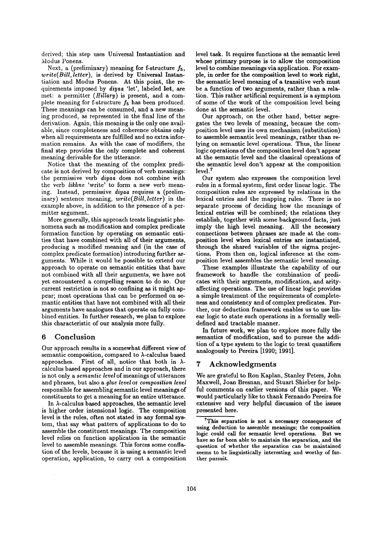derived; this step uses Universal Instantiation and Modus Ponens.

Next, a (preliminary) meaning for f-structure  $f_5$ , *write(Bill, letter),* is derived by Universal Instantiation and Modus Ponens. At this point, the requirements imposed by *diyaa* 'let', labeled let, are met: a permitter *(Hillary)* is present, and a complete meaning for f-structure  $f_5$  has been produced. These meanings can be consumed, and a new meaning produced, as represented in the final line of the derivation. Again, this meaning is the only one available, since completeness and coherence obtains only when all requirements are fulfilled and no extra information remains. As with the case of modifiers, the final step provides the only complete and coherent meaning derivable for the utterance.

Notice that the meaning of the complex predicate is not derived by composition of verb meanings: the permissive verb *diyaa* does not combine with the verb *likhne* 'write' to form a new verb meaning. Instead, permissive *diyaa* requires a (preliminary) sentence meaning, *write(Bill, letter)* in the example above, in addition to the presence of a permitter argument.

More generally, this approach treats linguistic phenomena such as modification and complex predicate formation function by operating on semantic entities that have combined with all of their arguments, producing a modified meaning and (in the case of complex predicate formation) introducing further arguments. While it would be possible to extend our approach to operate on semantic entities that have not combined with all their arguments, we have not yet encountered a compelling reason to do so. Our current restriction is not so confining as it might appear; most operations that can be performed on semantic entities that have not combined with all their arguments have analogues that operate on fully combined entities. In further research, we plan to explore this characteristic of our analysis more fully.

#### **6 Conclusion**

Our approach results in a somewhat different view of semantic composition, compared to  $\lambda$ -calculus based approaches. First of all, notice that both in  $\lambda$ calculus based approaches and in our approach, there is not only a *semantic level* of meanings of utterances and phrases, but also a *glue level* or *composition level*  responsible for assembling semantic level meanings of constituents to get a meaning for an entire utterance.

In  $\lambda$ -calculus based approaches, the semantic level is higher order intensional logic. The composition level is the rules, often not stated in any formal system, that say what pattern of applications to do to assemble the constituent meanings. The composition level relies on function application in the semantic level to assemble meanings. This forces some conflation of the levels, because it is using a semantic level operation, application, to carry out a composition level task. It requires functions at the semantic level whose primary purpose is to allow the composition level to combine meanings via application. For example, in order for **the composition level** to work right, **the semantic level** meaning of a transitive verb must be a function of two arguments, rather than a relation. This rather artificial requirement is a symptom of some of the work of the composition level being done at the semantic level.

Our approach, on the other hand, better segregates the two levels of meaning, because the composition level uses its own mechanism (substitution) to assemble semantic level meanings, rather than relying on semantic level operations. Thus, the linear logic operations of the composition level don't appear at the semantic level and the classical operations of the semantic level don't appear at the composition level.<sup>7</sup>

Our system also expresses the composition level rules in a formal system, first order linear logic. The composition rules are expressed by relations in the lexical entries and the mapping rules. There is no separate process of deciding how the meanings of lexical entries will be combined; the relations they establish, together with some background facts, just imply the high level meaning. All the necessary connections between phrases are made at the composition level when lexical entries are instantiated, through the shared variables of the sigma projections. From then on, logical inference at the composition level assembles the semantic level meaning.

These examples illustrate the capability of our framework to handle the combination of predicates with their arguments, modification, and arityaffecting operations. The use of linear logic provides a simple treatment of the requirements of completeness and consistency and of complex predicates. Further, our deduction framework enables us to use linear logic to state such operations in a formally welldefined and tractable manner.

In future work, we plan to explore more fully **the**  semantics of modification, and to pursue the addition of a type system to the logic to treat quantifiers analogously to Pereira [1990; 1991].

### **7 Acknowledgments**

We are grateful to Ron Kaplan, Stanley Peters, John Maxwell, Joan Bresnan, and Stuart Shieber for helpful comments on earlier versions of this paper. We would particularly like to thank Fernando Pereira for extensive and very helpful discussion of the issues presented here.

**rThis separation is not a necessary consequence of using deduction to assemble meanings; the composition**  logic could call for semantic **level operations. But** we **have so far been able to maintain the separation, and the question of whether the** separation can be maintained seems to be linguistically interesting and worthy of further pursuit.